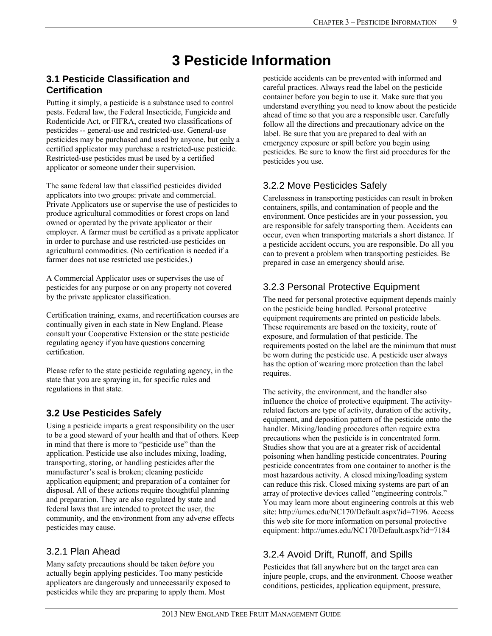# **3 Pesticide Information**

### **3.1 Pesticide Classification and Certification**

Putting it simply, a pesticide is a substance used to control pests. Federal law, the Federal Insecticide, Fungicide and Rodenticide Act, or FIFRA, created two classifications of pesticides -- general-use and restricted-use. General-use pesticides may be purchased and used by anyone, but only a certified applicator may purchase a restricted-use pesticide. Restricted-use pesticides must be used by a certified applicator or someone under their supervision.

The same federal law that classified pesticides divided applicators into two groups: private and commercial. Private Applicators use or supervise the use of pesticides to produce agricultural commodities or forest crops on land owned or operated by the private applicator or their employer. A farmer must be certified as a private applicator in order to purchase and use restricted-use pesticides on agricultural commodities. (No certification is needed if a farmer does not use restricted use pesticides.)

A Commercial Applicator uses or supervises the use of pesticides for any purpose or on any property not covered by the private applicator classification.

Certification training, exams, and recertification courses are continually given in each state in New England. Please consult your Cooperative Extension or the state pesticide regulating agency if you have questions concerning certification.

Please refer to the state pesticide regulating agency, in the state that you are spraying in, for specific rules and regulations in that state.

# **3.2 Use Pesticides Safely**

Using a pesticide imparts a great responsibility on the user to be a good steward of your health and that of others. Keep in mind that there is more to "pesticide use" than the application. Pesticide use also includes mixing, loading, transporting, storing, or handling pesticides after the manufacturer's seal is broken; cleaning pesticide application equipment; and preparation of a container for disposal. All of these actions require thoughtful planning and preparation. They are also regulated by state and federal laws that are intended to protect the user, the community, and the environment from any adverse effects pesticides may cause.

### 3.2.1 Plan Ahead

Many safety precautions should be taken *before* you actually begin applying pesticides. Too many pesticide applicators are dangerously and unnecessarily exposed to pesticides while they are preparing to apply them. Most

pesticide accidents can be prevented with informed and careful practices. Always read the label on the pesticide container before you begin to use it. Make sure that you understand everything you need to know about the pesticide ahead of time so that you are a responsible user. Carefully follow all the directions and precautionary advice on the label. Be sure that you are prepared to deal with an emergency exposure or spill before you begin using pesticides. Be sure to know the first aid procedures for the pesticides you use.

# 3.2.2 Move Pesticides Safely

Carelessness in transporting pesticides can result in broken containers, spills, and contamination of people and the environment. Once pesticides are in your possession, you are responsible for safely transporting them. Accidents can occur, even when transporting materials a short distance. If a pesticide accident occurs, you are responsible. Do all you can to prevent a problem when transporting pesticides. Be prepared in case an emergency should arise.

# 3.2.3 Personal Protective Equipment

The need for personal protective equipment depends mainly on the pesticide being handled. Personal protective equipment requirements are printed on pesticide labels. These requirements are based on the toxicity, route of exposure, and formulation of that pesticide. The requirements posted on the label are the minimum that must be worn during the pesticide use. A pesticide user always has the option of wearing more protection than the label requires.

The activity, the environment, and the handler also influence the choice of protective equipment. The activityrelated factors are type of activity, duration of the activity, equipment, and deposition pattern of the pesticide onto the handler. Mixing/loading procedures often require extra precautions when the pesticide is in concentrated form. Studies show that you are at a greater risk of accidental poisoning when handling pesticide concentrates. Pouring pesticide concentrates from one container to another is the most hazardous activity. A closed mixing/loading system can reduce this risk. Closed mixing systems are part of an array of protective devices called "engineering controls." You may learn more about engineering controls at this web site: http://umes.edu/NC170/Default.aspx?id=7196. Access this web site for more information on personal protective equipment: http://umes.edu/NC170/Default.aspx?id=7184

# 3.2.4 Avoid Drift, Runoff, and Spills

Pesticides that fall anywhere but on the target area can injure people, crops, and the environment. Choose weather conditions, pesticides, application equipment, pressure,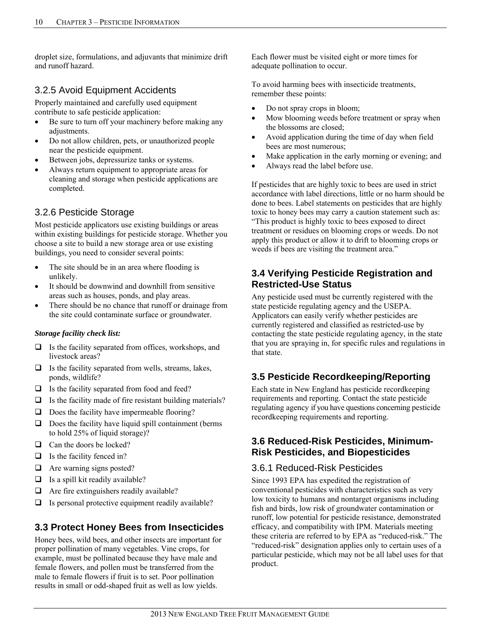droplet size, formulations, and adjuvants that minimize drift and runoff hazard.

### 3.2.5 Avoid Equipment Accidents

Properly maintained and carefully used equipment contribute to safe pesticide application:

- Be sure to turn off your machinery before making any adjustments.
- Do not allow children, pets, or unauthorized people near the pesticide equipment.
- Between jobs, depressurize tanks or systems.
- Always return equipment to appropriate areas for cleaning and storage when pesticide applications are completed.

### 3.2.6 Pesticide Storage

Most pesticide applicators use existing buildings or areas within existing buildings for pesticide storage. Whether you choose a site to build a new storage area or use existing buildings, you need to consider several points:

- The site should be in an area where flooding is unlikely.
- It should be downwind and downhill from sensitive areas such as houses, ponds, and play areas.
- There should be no chance that runoff or drainage from the site could contaminate surface or groundwater.

#### *Storage facility check list:*

- $\Box$  Is the facility separated from offices, workshops, and livestock areas?
- $\Box$  Is the facility separated from wells, streams, lakes, ponds, wildlife?
- $\Box$  Is the facility separated from food and feed?
- $\Box$  Is the facility made of fire resistant building materials?
- $\Box$  Does the facility have impermeable flooring?
- $\Box$  Does the facility have liquid spill containment (berms to hold 25% of liquid storage)?
- □ Can the doors be locked?
- $\Box$  Is the facility fenced in?
- $\Box$  Are warning signs posted?
- $\Box$  Is a spill kit readily available?
- $\Box$  Are fire extinguishers readily available?
- $\Box$  Is personal protective equipment readily available?

# **3.3 Protect Honey Bees from Insecticides**

Honey bees, wild bees, and other insects are important for proper pollination of many vegetables. Vine crops, for example, must be pollinated because they have male and female flowers, and pollen must be transferred from the male to female flowers if fruit is to set. Poor pollination results in small or odd-shaped fruit as well as low yields.

Each flower must be visited eight or more times for adequate pollination to occur.

To avoid harming bees with insecticide treatments, remember these points:

- Do not spray crops in bloom;
- Mow blooming weeds before treatment or spray when the blossoms are closed;
- Avoid application during the time of day when field bees are most numerous;
- Make application in the early morning or evening; and
- Always read the label before use.

If pesticides that are highly toxic to bees are used in strict accordance with label directions, little or no harm should be done to bees. Label statements on pesticides that are highly toxic to honey bees may carry a caution statement such as: "This product is highly toxic to bees exposed to direct treatment or residues on blooming crops or weeds. Do not apply this product or allow it to drift to blooming crops or weeds if bees are visiting the treatment area."

### **3.4 Verifying Pesticide Registration and Restricted-Use Status**

Any pesticide used must be currently registered with the state pesticide regulating agency and the USEPA. Applicators can easily verify whether pesticides are currently registered and classified as restricted-use by contacting the state pesticide regulating agency, in the state that you are spraying in, for specific rules and regulations in that state.

# **3.5 Pesticide Recordkeeping/Reporting**

Each state in New England has pesticide recordkeeping requirements and reporting. Contact the state pesticide regulating agency if you have questions concerning pesticide recordkeeping requirements and reporting.

#### **3.6 Reduced-Risk Pesticides, Minimum-Risk Pesticides, and Biopesticides**

# 3.6.1 Reduced-Risk Pesticides

Since 1993 EPA has expedited the registration of conventional pesticides with characteristics such as very low toxicity to humans and nontarget organisms including fish and birds, low risk of groundwater contamination or runoff, low potential for pesticide resistance, demonstrated efficacy, and compatibility with IPM. Materials meeting these criteria are referred to by EPA as "reduced-risk." The "reduced-risk" designation applies only to certain uses of a particular pesticide, which may not be all label uses for that product.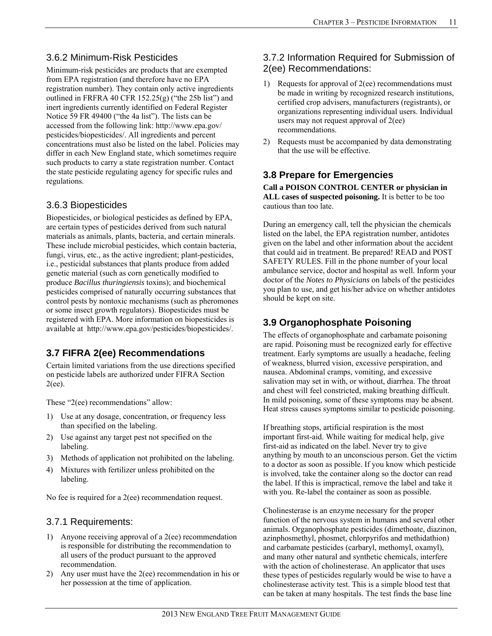### 3.6.2 Minimum-Risk Pesticides

Minimum-risk pesticides are products that are exempted from EPA registration (and therefore have no EPA registration number). They contain only active ingredients outlined in FRFRA 40 CFR  $152.25(g)$  ("the 25b list") and inert ingredients currently identified on Federal Register Notice 59 FR 49400 ("the 4a list"). The lists can be accessed from the following link: http://www.epa.gov/ pesticides/biopesticides/. All ingredients and percent concentrations must also be listed on the label. Policies may differ in each New England state, which sometimes require such products to carry a state registration number. Contact the state pesticide regulating agency for specific rules and regulations.

#### 3.6.3 Biopesticides

Biopesticides, or biological pesticides as defined by EPA, are certain types of pesticides derived from such natural materials as animals, plants, bacteria, and certain minerals. These include microbial pesticides, which contain bacteria, fungi, virus, etc., as the active ingredient; plant-pesticides, i.e., pesticidal substances that plants produce from added genetic material (such as corn genetically modified to produce *Bacillus thuringiensis* toxins); and biochemical pesticides comprised of naturally occurring substances that control pests by nontoxic mechanisms (such as pheromones or some insect growth regulators). Biopesticides must be registered with EPA. More information on biopesticides is available at http://www.epa.gov/pesticides/biopesticides/.

# **3.7 FIFRA 2(ee) Recommendations**

Certain limited variations from the use directions specified on pesticide labels are authorized under FIFRA Section 2(ee).

These "2(ee) recommendations" allow:

- 1) Use at any dosage, concentration, or frequency less than specified on the labeling.
- 2) Use against any target pest not specified on the labeling.
- 3) Methods of application not prohibited on the labeling.
- 4) Mixtures with fertilizer unless prohibited on the labeling.

No fee is required for a 2(ee) recommendation request.

### 3.7.1 Requirements:

- 1) Anyone receiving approval of a 2(ee) recommendation is responsible for distributing the recommendation to all users of the product pursuant to the approved recommendation.
- 2) Any user must have the 2(ee) recommendation in his or her possession at the time of application.

# 3.7.2 Information Required for Submission of 2(ee) Recommendations:

- 1) Requests for approval of 2(ee) recommendations must be made in writing by recognized research institutions, certified crop advisers, manufacturers (registrants), or organizations representing individual users. Individual users may not request approval of 2(ee) recommendations.
- 2) Requests must be accompanied by data demonstrating that the use will be effective.

# **3.8 Prepare for Emergencies**

**Call a POISON CONTROL CENTER or physician in ALL cases of suspected poisoning.** It is better to be too cautious than too late.

During an emergency call, tell the physician the chemicals listed on the label, the EPA registration number, antidotes given on the label and other information about the accident that could aid in treatment. Be prepared! READ and POST SAFETY RULES. Fill in the phone number of your local ambulance service, doctor and hospital as well. Inform your doctor of the *Notes to Physicians* on labels of the pesticides you plan to use, and get his/her advice on whether antidotes should be kept on site.

# **3.9 Organophosphate Poisoning**

The effects of organophosphate and carbamate poisoning are rapid. Poisoning must be recognized early for effective treatment. Early symptoms are usually a headache, feeling of weakness, blurred vision, excessive perspiration, and nausea. Abdominal cramps, vomiting, and excessive salivation may set in with, or without, diarrhea. The throat and chest will feel constricted, making breathing difficult. In mild poisoning, some of these symptoms may be absent. Heat stress causes symptoms similar to pesticide poisoning.

If breathing stops, artificial respiration is the most important first-aid. While waiting for medical help, give first-aid as indicated on the label. Never try to give anything by mouth to an unconscious person. Get the victim to a doctor as soon as possible. If you know which pesticide is involved, take the container along so the doctor can read the label. If this is impractical, remove the label and take it with you. Re-label the container as soon as possible.

Cholinesterase is an enzyme necessary for the proper function of the nervous system in humans and several other animals. Organophosphate pesticides (dimethoate, diazinon, azinphosmethyl, phosmet, chlorpyrifos and methidathion) and carbamate pesticides (carbaryl, methomyl, oxamyl), and many other natural and synthetic chemicals, interfere with the action of cholinesterase. An applicator that uses these types of pesticides regularly would be wise to have a cholinesterase activity test. This is a simple blood test that can be taken at many hospitals. The test finds the base line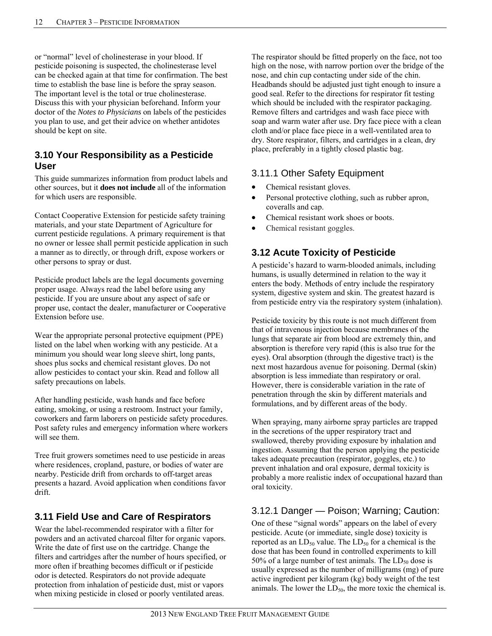or "normal" level of cholinesterase in your blood. If pesticide poisoning is suspected, the cholinesterase level can be checked again at that time for confirmation. The best time to establish the base line is before the spray season. The important level is the total or true cholinesterase. Discuss this with your physician beforehand. Inform your doctor of the *Notes to Physicians* on labels of the pesticides you plan to use, and get their advice on whether antidotes should be kept on site.

#### **3.10 Your Responsibility as a Pesticide User**

This guide summarizes information from product labels and other sources, but it **does not include** all of the information for which users are responsible.

Contact Cooperative Extension for pesticide safety training materials, and your state Department of Agriculture for current pesticide regulations. A primary requirement is that no owner or lessee shall permit pesticide application in such a manner as to directly, or through drift, expose workers or other persons to spray or dust.

Pesticide product labels are the legal documents governing proper usage. Always read the label before using any pesticide. If you are unsure about any aspect of safe or proper use, contact the dealer, manufacturer or Cooperative Extension before use.

Wear the appropriate personal protective equipment (PPE) listed on the label when working with any pesticide. At a minimum you should wear long sleeve shirt, long pants, shoes plus socks and chemical resistant gloves. Do not allow pesticides to contact your skin. Read and follow all safety precautions on labels.

After handling pesticide, wash hands and face before eating, smoking, or using a restroom. Instruct your family, coworkers and farm laborers on pesticide safety procedures. Post safety rules and emergency information where workers will see them.

Tree fruit growers sometimes need to use pesticide in areas where residences, cropland, pasture, or bodies of water are nearby. Pesticide drift from orchards to off-target areas presents a hazard. Avoid application when conditions favor drift.

# **3.11 Field Use and Care of Respirators**

Wear the label-recommended respirator with a filter for powders and an activated charcoal filter for organic vapors. Write the date of first use on the cartridge. Change the filters and cartridges after the number of hours specified, or more often if breathing becomes difficult or if pesticide odor is detected. Respirators do not provide adequate protection from inhalation of pesticide dust, mist or vapors when mixing pesticide in closed or poorly ventilated areas.

The respirator should be fitted properly on the face, not too high on the nose, with narrow portion over the bridge of the nose, and chin cup contacting under side of the chin. Headbands should be adjusted just tight enough to insure a good seal. Refer to the directions for respirator fit testing which should be included with the respirator packaging. Remove filters and cartridges and wash face piece with soap and warm water after use. Dry face piece with a clean cloth and/or place face piece in a well-ventilated area to dry. Store respirator, filters, and cartridges in a clean, dry place, preferably in a tightly closed plastic bag.

### 3.11.1 Other Safety Equipment

- Chemical resistant gloves.
- Personal protective clothing, such as rubber apron, coveralls and cap.
- Chemical resistant work shoes or boots.
- Chemical resistant goggles.

### **3.12 Acute Toxicity of Pesticide**

A pesticide's hazard to warm-blooded animals, including humans, is usually determined in relation to the way it enters the body. Methods of entry include the respiratory system, digestive system and skin. The greatest hazard is from pesticide entry via the respiratory system (inhalation).

Pesticide toxicity by this route is not much different from that of intravenous injection because membranes of the lungs that separate air from blood are extremely thin, and absorption is therefore very rapid (this is also true for the eyes). Oral absorption (through the digestive tract) is the next most hazardous avenue for poisoning. Dermal (skin) absorption is less immediate than respiratory or oral. However, there is considerable variation in the rate of penetration through the skin by different materials and formulations, and by different areas of the body.

When spraying, many airborne spray particles are trapped in the secretions of the upper respiratory tract and swallowed, thereby providing exposure by inhalation and ingestion. Assuming that the person applying the pesticide takes adequate precaution (respirator, goggles, etc.) to prevent inhalation and oral exposure, dermal toxicity is probably a more realistic index of occupational hazard than oral toxicity.

# 3.12.1 Danger — Poison; Warning; Caution:

One of these "signal words" appears on the label of every pesticide. Acute (or immediate, single dose) toxicity is reported as an  $LD_{50}$  value. The  $LD_{50}$  for a chemical is the dose that has been found in controlled experiments to kill 50% of a large number of test animals. The  $LD_{50}$  dose is usually expressed as the number of milligrams (mg) of pure active ingredient per kilogram (kg) body weight of the test animals. The lower the  $LD_{50}$ , the more toxic the chemical is.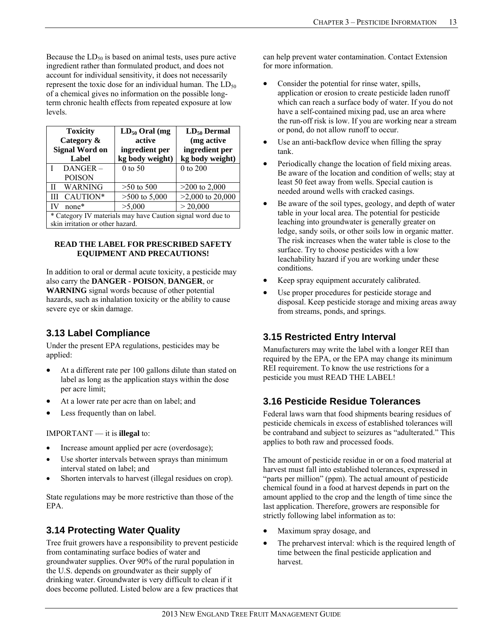Because the  $LD_{50}$  is based on animal tests, uses pure active ingredient rather than formulated product, and does not account for individual sensitivity, it does not necessarily represent the toxic dose for an individual human. The  $LD_{50}$ of a chemical gives no information on the possible longterm chronic health effects from repeated exposure at low levels.

| <b>Toxicity</b>                                             | $LD_{50}$ Oral (mg | $LD_{50}$ Dermal   |
|-------------------------------------------------------------|--------------------|--------------------|
| Category &                                                  | active             | (mg active         |
| <b>Signal Word on</b>                                       | ingredient per     | ingredient per     |
| Label                                                       | kg body weight)    | kg body weight)    |
| DANGER-                                                     | $0$ to 50          | 0 to 200           |
| <b>POISON</b>                                               |                    |                    |
| <b>WARNING</b>                                              | $>50$ to 500       | $>200$ to 2,000    |
| CAUTION*<br>Ш                                               | $>500$ to 5,000    | $>2,000$ to 20,000 |
| none*                                                       | >5,000             | > 20,000           |
| * Category IV materials may have Caution signal word due to |                    |                    |
| skin irritation or other hazard.                            |                    |                    |

#### **READ THE LABEL FOR PRESCRIBED SAFETY EQUIPMENT AND PRECAUTIONS!**

In addition to oral or dermal acute toxicity, a pesticide may also carry the **DANGER - POISON**, **DANGER**, or **WARNING** signal words because of other potential hazards, such as inhalation toxicity or the ability to cause severe eye or skin damage.

# **3.13 Label Compliance**

Under the present EPA regulations, pesticides may be applied:

- At a different rate per 100 gallons dilute than stated on label as long as the application stays within the dose per acre limit;
- At a lower rate per acre than on label; and
- Less frequently than on label.

IMPORTANT — it is **illegal** to:

- Increase amount applied per acre (overdosage);
- Use shorter intervals between sprays than minimum interval stated on label; and
- Shorten intervals to harvest (illegal residues on crop).

State regulations may be more restrictive than those of the EPA.

# **3.14 Protecting Water Quality**

Tree fruit growers have a responsibility to prevent pesticide from contaminating surface bodies of water and groundwater supplies. Over 90% of the rural population in the U.S. depends on groundwater as their supply of drinking water. Groundwater is very difficult to clean if it does become polluted. Listed below are a few practices that can help prevent water contamination. Contact Extension for more information.

- Consider the potential for rinse water, spills, application or erosion to create pesticide laden runoff which can reach a surface body of water. If you do not have a self-contained mixing pad, use an area where the run-off risk is low. If you are working near a stream or pond, do not allow runoff to occur.
- Use an anti-backflow device when filling the spray tank.
- Periodically change the location of field mixing areas. Be aware of the location and condition of wells; stay at least 50 feet away from wells. Special caution is needed around wells with cracked casings.
- Be aware of the soil types, geology, and depth of water table in your local area. The potential for pesticide leaching into groundwater is generally greater on ledge, sandy soils, or other soils low in organic matter. The risk increases when the water table is close to the surface. Try to choose pesticides with a low leachability hazard if you are working under these conditions.
- Keep spray equipment accurately calibrated.
- Use proper procedures for pesticide storage and disposal. Keep pesticide storage and mixing areas away from streams, ponds, and springs.

# **3.15 Restricted Entry Interval**

Manufacturers may write the label with a longer REI than required by the EPA, or the EPA may change its minimum REI requirement. To know the use restrictions for a pesticide you must READ THE LABEL!

# **3.16 Pesticide Residue Tolerances**

Federal laws warn that food shipments bearing residues of pesticide chemicals in excess of established tolerances will be contraband and subject to seizures as "adulterated." This applies to both raw and processed foods.

The amount of pesticide residue in or on a food material at harvest must fall into established tolerances, expressed in "parts per million" (ppm). The actual amount of pesticide chemical found in a food at harvest depends in part on the amount applied to the crop and the length of time since the last application. Therefore, growers are responsible for strictly following label information as to:

- Maximum spray dosage, and
- The preharvest interval: which is the required length of time between the final pesticide application and harvest.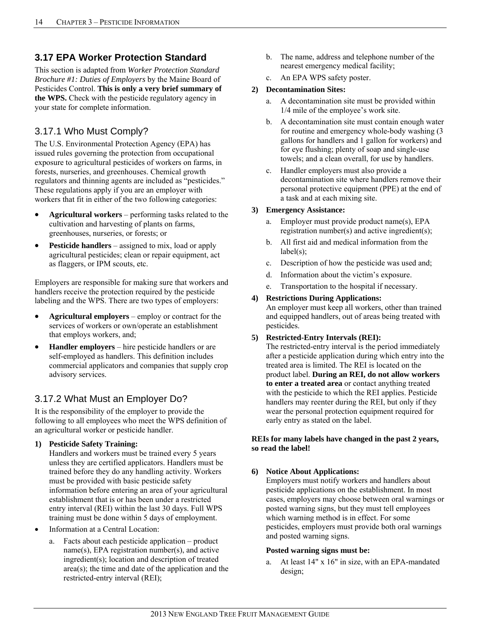### **3.17 EPA Worker Protection Standard**

This section is adapted from *Worker Protection Standard Brochure #1: Duties of Employers* by the Maine Board of Pesticides Control. **This is only a very brief summary of the WPS.** Check with the pesticide regulatory agency in your state for complete information.

### 3.17.1 Who Must Comply?

The U.S. Environmental Protection Agency (EPA) has issued rules governing the protection from occupational exposure to agricultural pesticides of workers on farms, in forests, nurseries, and greenhouses. Chemical growth regulators and thinning agents are included as "pesticides." These regulations apply if you are an employer with workers that fit in either of the two following categories:

- **Agricultural workers** performing tasks related to the cultivation and harvesting of plants on farms, greenhouses, nurseries, or forests; or
- **Pesticide handlers** assigned to mix, load or apply agricultural pesticides; clean or repair equipment, act as flaggers, or IPM scouts, etc.

Employers are responsible for making sure that workers and handlers receive the protection required by the pesticide labeling and the WPS. There are two types of employers:

- **Agricultural employers**  employ or contract for the services of workers or own/operate an establishment that employs workers, and;
- **Handler employers** hire pesticide handlers or are self-employed as handlers. This definition includes commercial applicators and companies that supply crop advisory services.

### 3.17.2 What Must an Employer Do?

It is the responsibility of the employer to provide the following to all employees who meet the WPS definition of an agricultural worker or pesticide handler.

**1) Pesticide Safety Training:** 

Handlers and workers must be trained every 5 years unless they are certified applicators. Handlers must be trained before they do any handling activity. Workers must be provided with basic pesticide safety information before entering an area of your agricultural establishment that is or has been under a restricted entry interval (REI) within the last 30 days. Full WPS training must be done within 5 days of employment.

- Information at a Central Location:
	- a. Facts about each pesticide application product name(s), EPA registration number(s), and active ingredient(s); location and description of treated area(s); the time and date of the application and the restricted-entry interval (REI);
- b. The name, address and telephone number of the nearest emergency medical facility;
- c. An EPA WPS safety poster.

#### **2) Decontamination Sites:**

- a. A decontamination site must be provided within 1/4 mile of the employee's work site.
- b. A decontamination site must contain enough water for routine and emergency whole-body washing (3 gallons for handlers and 1 gallon for workers) and for eye flushing; plenty of soap and single-use towels; and a clean overall, for use by handlers.
- c. Handler employers must also provide a decontamination site where handlers remove their personal protective equipment (PPE) at the end of a task and at each mixing site.

#### **3) Emergency Assistance:**

- a. Employer must provide product name(s), EPA registration number(s) and active ingredient(s);
- b. All first aid and medical information from the  $label(s)$ ;
- c. Description of how the pesticide was used and;
- d. Information about the victim's exposure.
- e. Transportation to the hospital if necessary.

#### **4) Restrictions During Applications:**

An employer must keep all workers, other than trained and equipped handlers, out of areas being treated with pesticides.

#### **5) Restricted-Entry Intervals (REI):**

The restricted-entry interval is the period immediately after a pesticide application during which entry into the treated area is limited. The REI is located on the product label. **During an REI, do not allow workers to enter a treated area** or contact anything treated with the pesticide to which the REI applies. Pesticide handlers may reenter during the REI, but only if they wear the personal protection equipment required for early entry as stated on the label.

#### **REIs for many labels have changed in the past 2 years, so read the label!**

#### **6) Notice About Applications:**

Employers must notify workers and handlers about pesticide applications on the establishment. In most cases, employers may choose between oral warnings or posted warning signs, but they must tell employees which warning method is in effect. For some pesticides, employers must provide both oral warnings and posted warning signs.

#### **Posted warning signs must be:**

At least 14" x 16" in size, with an EPA-mandated design;